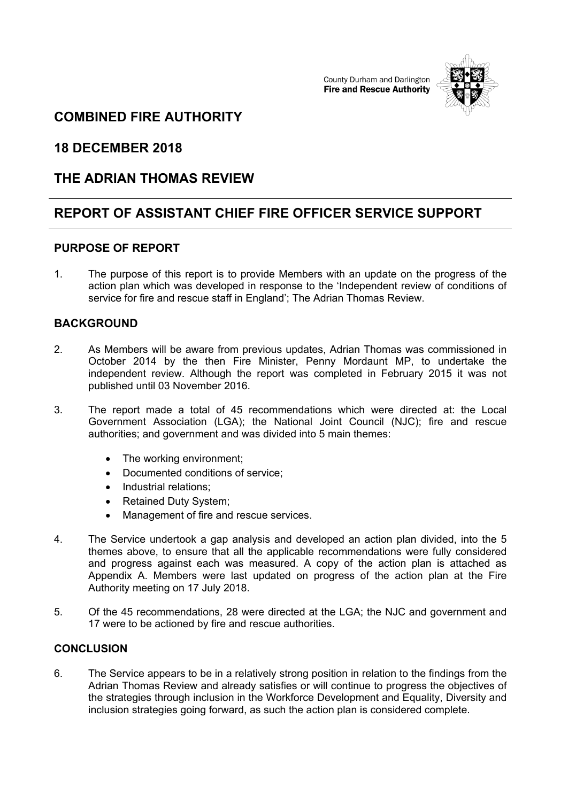County Durham and Darlington **Fire and Rescue Authority** 



## **COMBINED FIRE AUTHORITY**

## **18 DECEMBER 2018**

## **THE ADRIAN THOMAS REVIEW**

# **REPORT OF ASSISTANT CHIEF FIRE OFFICER SERVICE SUPPORT**

#### **PURPOSE OF REPORT**

1. The purpose of this report is to provide Members with an update on the progress of the action plan which was developed in response to the 'Independent review of conditions of service for fire and rescue staff in England'; The Adrian Thomas Review.

### **BACKGROUND**

- 2. As Members will be aware from previous updates, Adrian Thomas was commissioned in October 2014 by the then Fire Minister, Penny Mordaunt MP, to undertake the independent review. Although the report was completed in February 2015 it was not published until 03 November 2016.
- 3. The report made a total of 45 recommendations which were directed at: the Local Government Association (LGA); the National Joint Council (NJC); fire and rescue authorities; and government and was divided into 5 main themes:
	- The working environment;
	- Documented conditions of service;
	- Industrial relations:
	- Retained Duty System;
	- Management of fire and rescue services.
- 4. The Service undertook a gap analysis and developed an action plan divided, into the 5 themes above, to ensure that all the applicable recommendations were fully considered and progress against each was measured. A copy of the action plan is attached as Appendix A. Members were last updated on progress of the action plan at the Fire Authority meeting on 17 July 2018.
- 5. Of the 45 recommendations, 28 were directed at the LGA; the NJC and government and 17 were to be actioned by fire and rescue authorities.

#### **CONCLUSION**

6. The Service appears to be in a relatively strong position in relation to the findings from the Adrian Thomas Review and already satisfies or will continue to progress the objectives of the strategies through inclusion in the Workforce Development and Equality, Diversity and inclusion strategies going forward, as such the action plan is considered complete.